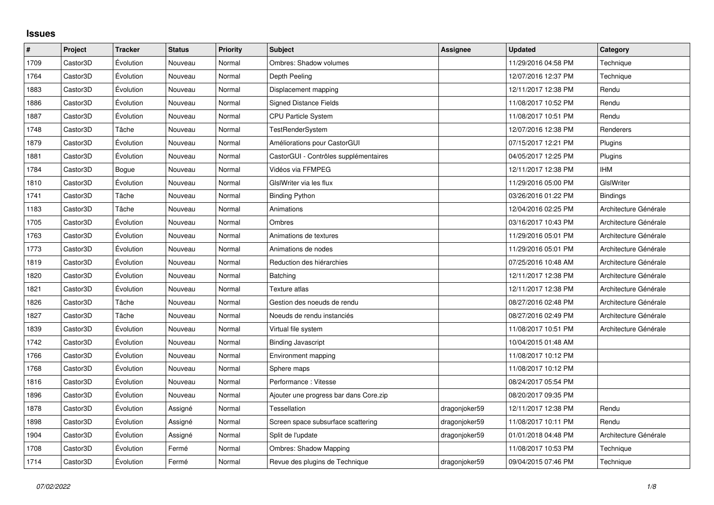## **Issues**

| $\sharp$ | Project  | <b>Tracker</b> | <b>Status</b> | Priority | <b>Subject</b>                         | Assignee      | <b>Updated</b>      | Category              |
|----------|----------|----------------|---------------|----------|----------------------------------------|---------------|---------------------|-----------------------|
| 1709     | Castor3D | Évolution      | Nouveau       | Normal   | <b>Ombres: Shadow volumes</b>          |               | 11/29/2016 04:58 PM | Technique             |
| 1764     | Castor3D | Évolution      | Nouveau       | Normal   | Depth Peeling                          |               | 12/07/2016 12:37 PM | Technique             |
| 1883     | Castor3D | Évolution      | Nouveau       | Normal   | Displacement mapping                   |               | 12/11/2017 12:38 PM | Rendu                 |
| 1886     | Castor3D | Évolution      | Nouveau       | Normal   | <b>Signed Distance Fields</b>          |               | 11/08/2017 10:52 PM | Rendu                 |
| 1887     | Castor3D | Évolution      | Nouveau       | Normal   | CPU Particle System                    |               | 11/08/2017 10:51 PM | Rendu                 |
| 1748     | Castor3D | Tâche          | Nouveau       | Normal   | TestRenderSystem                       |               | 12/07/2016 12:38 PM | Renderers             |
| 1879     | Castor3D | Évolution      | Nouveau       | Normal   | Améliorations pour CastorGUI           |               | 07/15/2017 12:21 PM | Plugins               |
| 1881     | Castor3D | Évolution      | Nouveau       | Normal   | CastorGUI - Contrôles supplémentaires  |               | 04/05/2017 12:25 PM | Plugins               |
| 1784     | Castor3D | Bogue          | Nouveau       | Normal   | Vidéos via FFMPEG                      |               | 12/11/2017 12:38 PM | <b>IHM</b>            |
| 1810     | Castor3D | Évolution      | Nouveau       | Normal   | GIslWriter via les flux                |               | 11/29/2016 05:00 PM | GIslWriter            |
| 1741     | Castor3D | Tâche          | Nouveau       | Normal   | <b>Binding Python</b>                  |               | 03/26/2016 01:22 PM | <b>Bindings</b>       |
| 1183     | Castor3D | Tâche          | Nouveau       | Normal   | Animations                             |               | 12/04/2016 02:25 PM | Architecture Générale |
| 1705     | Castor3D | Évolution      | Nouveau       | Normal   | Ombres                                 |               | 03/16/2017 10:43 PM | Architecture Générale |
| 1763     | Castor3D | Évolution      | Nouveau       | Normal   | Animations de textures                 |               | 11/29/2016 05:01 PM | Architecture Générale |
| 1773     | Castor3D | Évolution      | Nouveau       | Normal   | Animations de nodes                    |               | 11/29/2016 05:01 PM | Architecture Générale |
| 1819     | Castor3D | Évolution      | Nouveau       | Normal   | Reduction des hiérarchies              |               | 07/25/2016 10:48 AM | Architecture Générale |
| 1820     | Castor3D | Évolution      | Nouveau       | Normal   | Batching                               |               | 12/11/2017 12:38 PM | Architecture Générale |
| 1821     | Castor3D | Évolution      | Nouveau       | Normal   | Texture atlas                          |               | 12/11/2017 12:38 PM | Architecture Générale |
| 1826     | Castor3D | Tâche          | Nouveau       | Normal   | Gestion des noeuds de rendu            |               | 08/27/2016 02:48 PM | Architecture Générale |
| 1827     | Castor3D | Tâche          | Nouveau       | Normal   | Noeuds de rendu instanciés             |               | 08/27/2016 02:49 PM | Architecture Générale |
| 1839     | Castor3D | Évolution      | Nouveau       | Normal   | Virtual file system                    |               | 11/08/2017 10:51 PM | Architecture Générale |
| 1742     | Castor3D | Évolution      | Nouveau       | Normal   | <b>Binding Javascript</b>              |               | 10/04/2015 01:48 AM |                       |
| 1766     | Castor3D | Évolution      | Nouveau       | Normal   | Environment mapping                    |               | 11/08/2017 10:12 PM |                       |
| 1768     | Castor3D | Évolution      | Nouveau       | Normal   | Sphere maps                            |               | 11/08/2017 10:12 PM |                       |
| 1816     | Castor3D | Évolution      | Nouveau       | Normal   | Performance: Vitesse                   |               | 08/24/2017 05:54 PM |                       |
| 1896     | Castor3D | Évolution      | Nouveau       | Normal   | Ajouter une progress bar dans Core.zip |               | 08/20/2017 09:35 PM |                       |
| 1878     | Castor3D | Évolution      | Assigné       | Normal   | Tessellation                           | dragonjoker59 | 12/11/2017 12:38 PM | Rendu                 |
| 1898     | Castor3D | Évolution      | Assigné       | Normal   | Screen space subsurface scattering     | dragonjoker59 | 11/08/2017 10:11 PM | Rendu                 |
| 1904     | Castor3D | Évolution      | Assigné       | Normal   | Split de l'update                      | dragonjoker59 | 01/01/2018 04:48 PM | Architecture Générale |
| 1708     | Castor3D | Évolution      | Fermé         | Normal   | <b>Ombres: Shadow Mapping</b>          |               | 11/08/2017 10:53 PM | Technique             |
| 1714     | Castor3D | Évolution      | Fermé         | Normal   | Revue des plugins de Technique         | dragonjoker59 | 09/04/2015 07:46 PM | Technique             |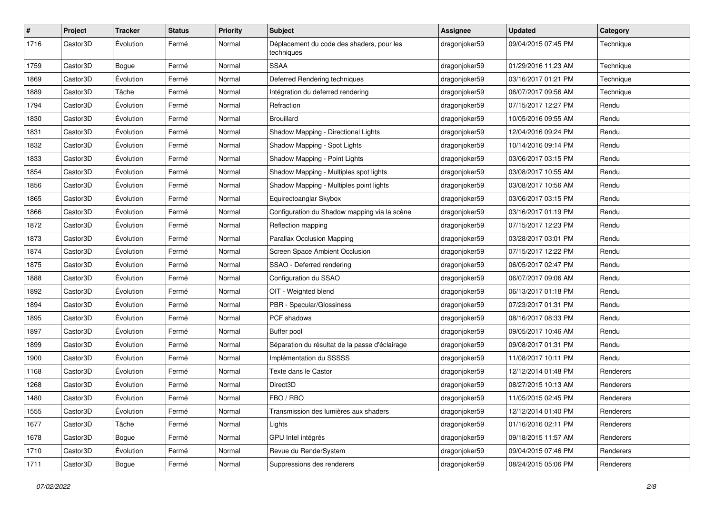| #    | Project  | <b>Tracker</b> | <b>Status</b> | <b>Priority</b> | <b>Subject</b>                                          | <b>Assignee</b> | <b>Updated</b>      | Category  |
|------|----------|----------------|---------------|-----------------|---------------------------------------------------------|-----------------|---------------------|-----------|
| 1716 | Castor3D | Evolution      | Fermé         | Normal          | Déplacement du code des shaders, pour les<br>techniques | dragonjoker59   | 09/04/2015 07:45 PM | Technique |
| 1759 | Castor3D | Bogue          | Fermé         | Normal          | <b>SSAA</b>                                             | dragonjoker59   | 01/29/2016 11:23 AM | Technique |
| 1869 | Castor3D | Évolution      | Fermé         | Normal          | Deferred Rendering techniques                           | dragonjoker59   | 03/16/2017 01:21 PM | Technique |
| 1889 | Castor3D | Tâche          | Fermé         | Normal          | Intégration du deferred rendering                       | dragonjoker59   | 06/07/2017 09:56 AM | Technique |
| 1794 | Castor3D | Évolution      | Fermé         | Normal          | Refraction                                              | dragonjoker59   | 07/15/2017 12:27 PM | Rendu     |
| 1830 | Castor3D | Évolution      | Fermé         | Normal          | <b>Brouillard</b>                                       | dragonjoker59   | 10/05/2016 09:55 AM | Rendu     |
| 1831 | Castor3D | Évolution      | Fermé         | Normal          | Shadow Mapping - Directional Lights                     | dragonjoker59   | 12/04/2016 09:24 PM | Rendu     |
| 1832 | Castor3D | Evolution      | Fermé         | Normal          | Shadow Mapping - Spot Lights                            | dragonjoker59   | 10/14/2016 09:14 PM | Rendu     |
| 1833 | Castor3D | Évolution      | Fermé         | Normal          | Shadow Mapping - Point Lights                           | dragonjoker59   | 03/06/2017 03:15 PM | Rendu     |
| 1854 | Castor3D | Évolution      | Fermé         | Normal          | Shadow Mapping - Multiples spot lights                  | dragonjoker59   | 03/08/2017 10:55 AM | Rendu     |
| 1856 | Castor3D | Évolution      | Fermé         | Normal          | Shadow Mapping - Multiples point lights                 | dragonjoker59   | 03/08/2017 10:56 AM | Rendu     |
| 1865 | Castor3D | Évolution      | Fermé         | Normal          | Equirectoanglar Skybox                                  | dragonjoker59   | 03/06/2017 03:15 PM | Rendu     |
| 1866 | Castor3D | Évolution      | Fermé         | Normal          | Configuration du Shadow mapping via la scène            | dragonjoker59   | 03/16/2017 01:19 PM | Rendu     |
| 1872 | Castor3D | Évolution      | Fermé         | Normal          | Reflection mapping                                      | dragonjoker59   | 07/15/2017 12:23 PM | Rendu     |
| 1873 | Castor3D | Évolution      | Fermé         | Normal          | <b>Parallax Occlusion Mapping</b>                       | dragonjoker59   | 03/28/2017 03:01 PM | Rendu     |
| 1874 | Castor3D | Évolution      | Fermé         | Normal          | Screen Space Ambient Occlusion                          | dragonjoker59   | 07/15/2017 12:22 PM | Rendu     |
| 1875 | Castor3D | Évolution      | Fermé         | Normal          | SSAO - Deferred rendering                               | dragonjoker59   | 06/05/2017 02:47 PM | Rendu     |
| 1888 | Castor3D | Évolution      | Fermé         | Normal          | Configuration du SSAO                                   | dragonjoker59   | 06/07/2017 09:06 AM | Rendu     |
| 1892 | Castor3D | Évolution      | Fermé         | Normal          | OIT - Weighted blend                                    | dragonjoker59   | 06/13/2017 01:18 PM | Rendu     |
| 1894 | Castor3D | Évolution      | Fermé         | Normal          | PBR - Specular/Glossiness                               | dragonjoker59   | 07/23/2017 01:31 PM | Rendu     |
| 1895 | Castor3D | Évolution      | Fermé         | Normal          | PCF shadows                                             | dragonjoker59   | 08/16/2017 08:33 PM | Rendu     |
| 1897 | Castor3D | Évolution      | Fermé         | Normal          | Buffer pool                                             | dragonjoker59   | 09/05/2017 10:46 AM | Rendu     |
| 1899 | Castor3D | Évolution      | Fermé         | Normal          | Séparation du résultat de la passe d'éclairage          | dragonjoker59   | 09/08/2017 01:31 PM | Rendu     |
| 1900 | Castor3D | Évolution      | Fermé         | Normal          | Implémentation du SSSSS                                 | dragonjoker59   | 11/08/2017 10:11 PM | Rendu     |
| 1168 | Castor3D | Évolution      | Fermé         | Normal          | Texte dans le Castor                                    | dragonjoker59   | 12/12/2014 01:48 PM | Renderers |
| 1268 | Castor3D | Évolution      | Fermé         | Normal          | Direct3D                                                | dragonjoker59   | 08/27/2015 10:13 AM | Renderers |
| 1480 | Castor3D | Évolution      | Fermé         | Normal          | FBO / RBO                                               | dragonjoker59   | 11/05/2015 02:45 PM | Renderers |
| 1555 | Castor3D | Évolution      | Fermé         | Normal          | Transmission des lumières aux shaders                   | dragonjoker59   | 12/12/2014 01:40 PM | Renderers |
| 1677 | Castor3D | Tâche          | Fermé         | Normal          | Lights                                                  | dragonjoker59   | 01/16/2016 02:11 PM | Renderers |
| 1678 | Castor3D | Bogue          | Fermé         | Normal          | GPU Intel intégrés                                      | dragonjoker59   | 09/18/2015 11:57 AM | Renderers |
| 1710 | Castor3D | Évolution      | Fermé         | Normal          | Revue du RenderSystem                                   | dragonjoker59   | 09/04/2015 07:46 PM | Renderers |
| 1711 | Castor3D | Bogue          | Fermé         | Normal          | Suppressions des renderers                              | dragonjoker59   | 08/24/2015 05:06 PM | Renderers |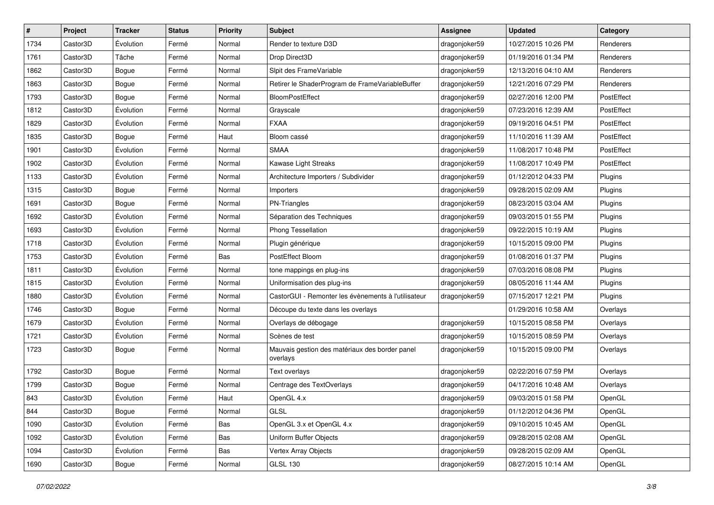| $\sharp$ | Project  | <b>Tracker</b> | <b>Status</b> | <b>Priority</b> | <b>Subject</b>                                             | <b>Assignee</b> | <b>Updated</b>      | Category   |
|----------|----------|----------------|---------------|-----------------|------------------------------------------------------------|-----------------|---------------------|------------|
| 1734     | Castor3D | Évolution      | Fermé         | Normal          | Render to texture D3D                                      | dragonjoker59   | 10/27/2015 10:26 PM | Renderers  |
| 1761     | Castor3D | Tâche          | Fermé         | Normal          | Drop Direct3D                                              | dragonjoker59   | 01/19/2016 01:34 PM | Renderers  |
| 1862     | Castor3D | Bogue          | Fermé         | Normal          | Slpit des FrameVariable                                    | dragonjoker59   | 12/13/2016 04:10 AM | Renderers  |
| 1863     | Castor3D | Bogue          | Fermé         | Normal          | Retirer le ShaderProgram de FrameVariableBuffer            | dragonjoker59   | 12/21/2016 07:29 PM | Renderers  |
| 1793     | Castor3D | Bogue          | Fermé         | Normal          | <b>BloomPostEffect</b>                                     | dragonjoker59   | 02/27/2016 12:00 PM | PostEffect |
| 1812     | Castor3D | Évolution      | Fermé         | Normal          | Grayscale                                                  | dragonjoker59   | 07/23/2016 12:39 AM | PostEffect |
| 1829     | Castor3D | Évolution      | Fermé         | Normal          | <b>FXAA</b>                                                | dragonjoker59   | 09/19/2016 04:51 PM | PostEffect |
| 1835     | Castor3D | Bogue          | Fermé         | Haut            | Bloom cassé                                                | dragonjoker59   | 11/10/2016 11:39 AM | PostEffect |
| 1901     | Castor3D | Évolution      | Fermé         | Normal          | <b>SMAA</b>                                                | dragonjoker59   | 11/08/2017 10:48 PM | PostEffect |
| 1902     | Castor3D | Évolution      | Fermé         | Normal          | Kawase Light Streaks                                       | dragonjoker59   | 11/08/2017 10:49 PM | PostEffect |
| 1133     | Castor3D | Évolution      | Fermé         | Normal          | Architecture Importers / Subdivider                        | dragonjoker59   | 01/12/2012 04:33 PM | Plugins    |
| 1315     | Castor3D | Bogue          | Fermé         | Normal          | Importers                                                  | dragonjoker59   | 09/28/2015 02:09 AM | Plugins    |
| 1691     | Castor3D | Bogue          | Fermé         | Normal          | PN-Triangles                                               | dragonjoker59   | 08/23/2015 03:04 AM | Plugins    |
| 1692     | Castor3D | Évolution      | Fermé         | Normal          | Séparation des Techniques                                  | dragonjoker59   | 09/03/2015 01:55 PM | Plugins    |
| 1693     | Castor3D | Évolution      | Fermé         | Normal          | <b>Phong Tessellation</b>                                  | dragonjoker59   | 09/22/2015 10:19 AM | Plugins    |
| 1718     | Castor3D | Évolution      | Fermé         | Normal          | Plugin générique                                           | dragonjoker59   | 10/15/2015 09:00 PM | Plugins    |
| 1753     | Castor3D | Évolution      | Fermé         | Bas             | PostEffect Bloom                                           | dragonjoker59   | 01/08/2016 01:37 PM | Plugins    |
| 1811     | Castor3D | Évolution      | Fermé         | Normal          | tone mappings en plug-ins                                  | dragonjoker59   | 07/03/2016 08:08 PM | Plugins    |
| 1815     | Castor3D | Évolution      | Fermé         | Normal          | Uniformisation des plug-ins                                | dragonjoker59   | 08/05/2016 11:44 AM | Plugins    |
| 1880     | Castor3D | Évolution      | Fermé         | Normal          | CastorGUI - Remonter les évènements à l'utilisateur        | dragonjoker59   | 07/15/2017 12:21 PM | Plugins    |
| 1746     | Castor3D | Bogue          | Fermé         | Normal          | Découpe du texte dans les overlays                         |                 | 01/29/2016 10:58 AM | Overlays   |
| 1679     | Castor3D | Évolution      | Fermé         | Normal          | Overlays de débogage                                       | dragonjoker59   | 10/15/2015 08:58 PM | Overlays   |
| 1721     | Castor3D | Évolution      | Fermé         | Normal          | Scènes de test                                             | dragonjoker59   | 10/15/2015 08:59 PM | Overlays   |
| 1723     | Castor3D | Bogue          | Fermé         | Normal          | Mauvais gestion des matériaux des border panel<br>overlays | dragonjoker59   | 10/15/2015 09:00 PM | Overlays   |
| 1792     | Castor3D | Bogue          | Fermé         | Normal          | Text overlays                                              | dragonjoker59   | 02/22/2016 07:59 PM | Overlays   |
| 1799     | Castor3D | Bogue          | Fermé         | Normal          | Centrage des TextOverlays                                  | dragonjoker59   | 04/17/2016 10:48 AM | Overlays   |
| 843      | Castor3D | Évolution      | Fermé         | Haut            | OpenGL 4.x                                                 | dragonjoker59   | 09/03/2015 01:58 PM | OpenGL     |
| 844      | Castor3D | Bogue          | Fermé         | Normal          | GLSL                                                       | dragonjoker59   | 01/12/2012 04:36 PM | OpenGL     |
| 1090     | Castor3D | Évolution      | Fermé         | Bas             | OpenGL 3.x et OpenGL 4.x                                   | dragonjoker59   | 09/10/2015 10:45 AM | OpenGL     |
| 1092     | Castor3D | Évolution      | Fermé         | Bas             | Uniform Buffer Objects                                     | dragonjoker59   | 09/28/2015 02:08 AM | OpenGL     |
| 1094     | Castor3D | Évolution      | Fermé         | Bas             | Vertex Array Objects                                       | dragonjoker59   | 09/28/2015 02:09 AM | OpenGL     |
| 1690     | Castor3D | Bogue          | Fermé         | Normal          | <b>GLSL 130</b>                                            | dragonjoker59   | 08/27/2015 10:14 AM | OpenGL     |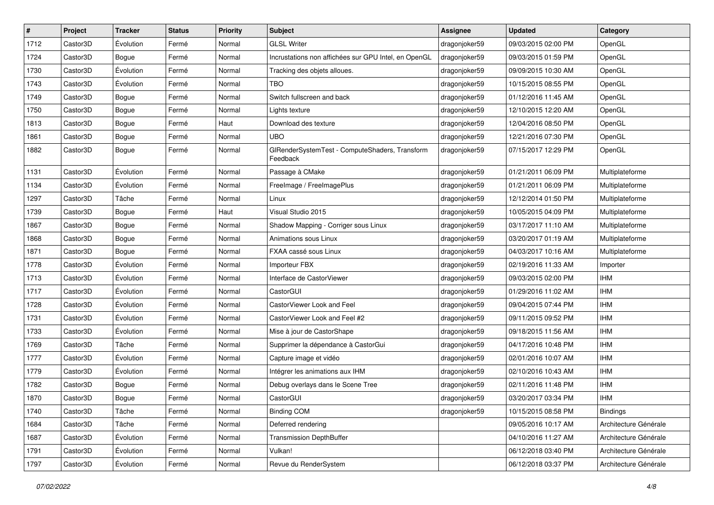| $\sharp$ | Project  | <b>Tracker</b> | <b>Status</b> | <b>Priority</b> | <b>Subject</b>                                             | <b>Assignee</b> | <b>Updated</b>      | Category              |
|----------|----------|----------------|---------------|-----------------|------------------------------------------------------------|-----------------|---------------------|-----------------------|
| 1712     | Castor3D | Évolution      | Fermé         | Normal          | <b>GLSL Writer</b>                                         | dragonjoker59   | 09/03/2015 02:00 PM | OpenGL                |
| 1724     | Castor3D | Bogue          | Fermé         | Normal          | Incrustations non affichées sur GPU Intel, en OpenGL       | dragonjoker59   | 09/03/2015 01:59 PM | OpenGL                |
| 1730     | Castor3D | Évolution      | Fermé         | Normal          | Tracking des objets alloues.                               | dragonjoker59   | 09/09/2015 10:30 AM | OpenGL                |
| 1743     | Castor3D | Évolution      | Fermé         | Normal          | <b>TBO</b>                                                 | dragonjoker59   | 10/15/2015 08:55 PM | OpenGL                |
| 1749     | Castor3D | Bogue          | Fermé         | Normal          | Switch fullscreen and back                                 | dragonjoker59   | 01/12/2016 11:45 AM | OpenGL                |
| 1750     | Castor3D | Bogue          | Fermé         | Normal          | Lights texture                                             | dragonjoker59   | 12/10/2015 12:20 AM | OpenGL                |
| 1813     | Castor3D | Bogue          | Fermé         | Haut            | Download des texture                                       | dragonjoker59   | 12/04/2016 08:50 PM | OpenGL                |
| 1861     | Castor3D | Bogue          | Fermé         | Normal          | <b>UBO</b>                                                 | dragonjoker59   | 12/21/2016 07:30 PM | OpenGL                |
| 1882     | Castor3D | Bogue          | Fermé         | Normal          | GIRenderSystemTest - ComputeShaders, Transform<br>Feedback | dragonjoker59   | 07/15/2017 12:29 PM | OpenGL                |
| 1131     | Castor3D | Évolution      | Fermé         | Normal          | Passage à CMake                                            | dragonjoker59   | 01/21/2011 06:09 PM | Multiplateforme       |
| 1134     | Castor3D | Évolution      | Fermé         | Normal          | FreeImage / FreeImagePlus                                  | dragonjoker59   | 01/21/2011 06:09 PM | Multiplateforme       |
| 1297     | Castor3D | Tâche          | Fermé         | Normal          | Linux                                                      | dragonjoker59   | 12/12/2014 01:50 PM | Multiplateforme       |
| 1739     | Castor3D | Bogue          | Fermé         | Haut            | Visual Studio 2015                                         | dragonjoker59   | 10/05/2015 04:09 PM | Multiplateforme       |
| 1867     | Castor3D | <b>Bogue</b>   | Fermé         | Normal          | Shadow Mapping - Corriger sous Linux                       | dragonjoker59   | 03/17/2017 11:10 AM | Multiplateforme       |
| 1868     | Castor3D | Bogue          | Fermé         | Normal          | Animations sous Linux                                      | dragonjoker59   | 03/20/2017 01:19 AM | Multiplateforme       |
| 1871     | Castor3D | Bogue          | Fermé         | Normal          | FXAA cassé sous Linux                                      | dragonjoker59   | 04/03/2017 10:16 AM | Multiplateforme       |
| 1778     | Castor3D | Évolution      | Fermé         | Normal          | Importeur FBX                                              | dragonjoker59   | 02/19/2016 11:33 AM | Importer              |
| 1713     | Castor3D | Évolution      | Fermé         | Normal          | Interface de CastorViewer                                  | dragonjoker59   | 09/03/2015 02:00 PM | <b>IHM</b>            |
| 1717     | Castor3D | Évolution      | Fermé         | Normal          | CastorGUI                                                  | dragonjoker59   | 01/29/2016 11:02 AM | <b>IHM</b>            |
| 1728     | Castor3D | Évolution      | Fermé         | Normal          | CastorViewer Look and Feel                                 | dragonjoker59   | 09/04/2015 07:44 PM | <b>IHM</b>            |
| 1731     | Castor3D | Évolution      | Fermé         | Normal          | CastorViewer Look and Feel #2                              | dragonjoker59   | 09/11/2015 09:52 PM | <b>IHM</b>            |
| 1733     | Castor3D | Évolution      | Fermé         | Normal          | Mise à jour de CastorShape                                 | dragonjoker59   | 09/18/2015 11:56 AM | <b>IHM</b>            |
| 1769     | Castor3D | Tâche          | Fermé         | Normal          | Supprimer la dépendance à CastorGui                        | dragonjoker59   | 04/17/2016 10:48 PM | <b>IHM</b>            |
| 1777     | Castor3D | Évolution      | Fermé         | Normal          | Capture image et vidéo                                     | dragonjoker59   | 02/01/2016 10:07 AM | <b>IHM</b>            |
| 1779     | Castor3D | Évolution      | Fermé         | Normal          | Intégrer les animations aux IHM                            | dragonjoker59   | 02/10/2016 10:43 AM | <b>IHM</b>            |
| 1782     | Castor3D | Bogue          | Fermé         | Normal          | Debug overlays dans le Scene Tree                          | dragonjoker59   | 02/11/2016 11:48 PM | <b>IHM</b>            |
| 1870     | Castor3D | <b>Bogue</b>   | Fermé         | Normal          | CastorGUI                                                  | dragonjoker59   | 03/20/2017 03:34 PM | <b>IHM</b>            |
| 1740     | Castor3D | Tâche          | Fermé         | Normal          | <b>Binding COM</b>                                         | dragonjoker59   | 10/15/2015 08:58 PM | <b>Bindings</b>       |
| 1684     | Castor3D | Tâche          | Fermé         | Normal          | Deferred rendering                                         |                 | 09/05/2016 10:17 AM | Architecture Générale |
| 1687     | Castor3D | Évolution      | Fermé         | Normal          | <b>Transmission DepthBuffer</b>                            |                 | 04/10/2016 11:27 AM | Architecture Générale |
| 1791     | Castor3D | Évolution      | Fermé         | Normal          | Vulkan!                                                    |                 | 06/12/2018 03:40 PM | Architecture Générale |
| 1797     | Castor3D | Évolution      | Fermé         | Normal          | Revue du RenderSystem                                      |                 | 06/12/2018 03:37 PM | Architecture Générale |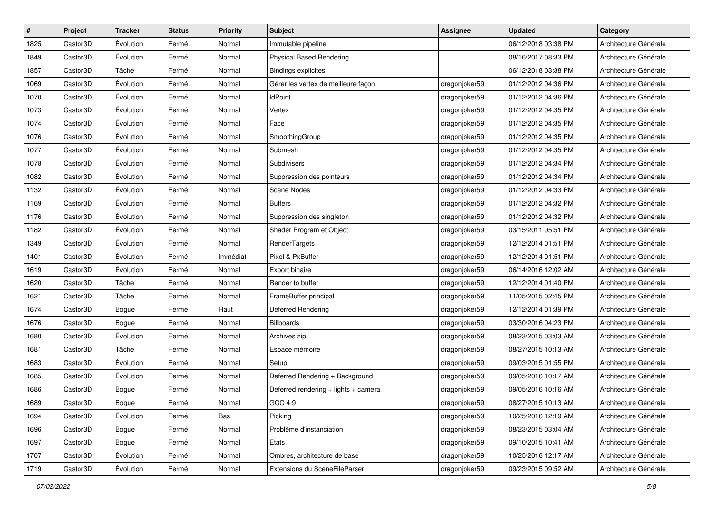| #    | Project  | <b>Tracker</b> | <b>Status</b> | <b>Priority</b> | Subject                              | <b>Assignee</b> | <b>Updated</b>      | Category              |
|------|----------|----------------|---------------|-----------------|--------------------------------------|-----------------|---------------------|-----------------------|
| 1825 | Castor3D | Évolution      | Fermé         | Normal          | Immutable pipeline                   |                 | 06/12/2018 03:38 PM | Architecture Générale |
| 1849 | Castor3D | Évolution      | Fermé         | Normal          | <b>Physical Based Rendering</b>      |                 | 08/16/2017 08:33 PM | Architecture Générale |
| 1857 | Castor3D | Tâche          | Fermé         | Normal          | <b>Bindings explicites</b>           |                 | 06/12/2018 03:38 PM | Architecture Générale |
| 1069 | Castor3D | Évolution      | Fermé         | Normal          | Gérer les vertex de meilleure facon  | dragonjoker59   | 01/12/2012 04:36 PM | Architecture Générale |
| 1070 | Castor3D | Évolution      | Fermé         | Normal          | <b>IdPoint</b>                       | dragonjoker59   | 01/12/2012 04:36 PM | Architecture Générale |
| 1073 | Castor3D | Évolution      | Fermé         | Normal          | Vertex                               | dragonjoker59   | 01/12/2012 04:35 PM | Architecture Générale |
| 1074 | Castor3D | Évolution      | Fermé         | Normal          | Face                                 | dragonjoker59   | 01/12/2012 04:35 PM | Architecture Générale |
| 1076 | Castor3D | Évolution      | Fermé         | Normal          | SmoothingGroup                       | dragonjoker59   | 01/12/2012 04:35 PM | Architecture Générale |
| 1077 | Castor3D | Évolution      | Fermé         | Normal          | Submesh                              | dragonjoker59   | 01/12/2012 04:35 PM | Architecture Générale |
| 1078 | Castor3D | Évolution      | Fermé         | Normal          | Subdivisers                          | dragonjoker59   | 01/12/2012 04:34 PM | Architecture Générale |
| 1082 | Castor3D | Évolution      | Fermé         | Normal          | Suppression des pointeurs            | dragonjoker59   | 01/12/2012 04:34 PM | Architecture Générale |
| 1132 | Castor3D | Évolution      | Fermé         | Normal          | Scene Nodes                          | dragonjoker59   | 01/12/2012 04:33 PM | Architecture Générale |
| 1169 | Castor3D | Évolution      | Fermé         | Normal          | <b>Buffers</b>                       | dragonjoker59   | 01/12/2012 04:32 PM | Architecture Générale |
| 1176 | Castor3D | Évolution      | Fermé         | Normal          | Suppression des singleton            | dragonjoker59   | 01/12/2012 04:32 PM | Architecture Générale |
| 1182 | Castor3D | Évolution      | Fermé         | Normal          | Shader Program et Object             | dragonjoker59   | 03/15/2011 05:51 PM | Architecture Générale |
| 1349 | Castor3D | Évolution      | Fermé         | Normal          | RenderTargets                        | dragonjoker59   | 12/12/2014 01:51 PM | Architecture Générale |
| 1401 | Castor3D | Évolution      | Fermé         | Immédiat        | Pixel & PxBuffer                     | dragonjoker59   | 12/12/2014 01:51 PM | Architecture Générale |
| 1619 | Castor3D | Évolution      | Fermé         | Normal          | Export binaire                       | dragonjoker59   | 06/14/2016 12:02 AM | Architecture Générale |
| 1620 | Castor3D | Tâche          | Fermé         | Normal          | Render to buffer                     | dragonjoker59   | 12/12/2014 01:40 PM | Architecture Générale |
| 1621 | Castor3D | Tâche          | Fermé         | Normal          | FrameBuffer principal                | dragonjoker59   | 11/05/2015 02:45 PM | Architecture Générale |
| 1674 | Castor3D | Bogue          | Fermé         | Haut            | Deferred Rendering                   | dragonjoker59   | 12/12/2014 01:39 PM | Architecture Générale |
| 1676 | Castor3D | Bogue          | Fermé         | Normal          | <b>Billboards</b>                    | dragonjoker59   | 03/30/2016 04:23 PM | Architecture Générale |
| 1680 | Castor3D | Évolution      | Fermé         | Normal          | Archives zip                         | dragonjoker59   | 08/23/2015 03:03 AM | Architecture Générale |
| 1681 | Castor3D | Tâche          | Fermé         | Normal          | Espace mémoire                       | dragonjoker59   | 08/27/2015 10:13 AM | Architecture Générale |
| 1683 | Castor3D | Évolution      | Fermé         | Normal          | Setup                                | dragonjoker59   | 09/03/2015 01:55 PM | Architecture Générale |
| 1685 | Castor3D | Évolution      | Fermé         | Normal          | Deferred Rendering + Background      | dragonjoker59   | 09/05/2016 10:17 AM | Architecture Générale |
| 1686 | Castor3D | Bogue          | Fermé         | Normal          | Deferred rendering + lights + camera | dragonjoker59   | 09/05/2016 10:16 AM | Architecture Générale |
| 1689 | Castor3D | Bogue          | Fermé         | Normal          | GCC 4.9                              | dragonjoker59   | 08/27/2015 10:13 AM | Architecture Générale |
| 1694 | Castor3D | Évolution      | Fermé         | Bas             | Picking                              | dragonjoker59   | 10/25/2016 12:19 AM | Architecture Générale |
| 1696 | Castor3D | Bogue          | Fermé         | Normal          | Problème d'instanciation             | dragonjoker59   | 08/23/2015 03:04 AM | Architecture Générale |
| 1697 | Castor3D | Bogue          | Fermé         | Normal          | Etats                                | dragonjoker59   | 09/10/2015 10:41 AM | Architecture Générale |
| 1707 | Castor3D | Évolution      | Fermé         | Normal          | Ombres, architecture de base         | dragonjoker59   | 10/25/2016 12:17 AM | Architecture Générale |
| 1719 | Castor3D | Évolution      | Fermé         | Normal          | Extensions du SceneFileParser        | dragonjoker59   | 09/23/2015 09:52 AM | Architecture Générale |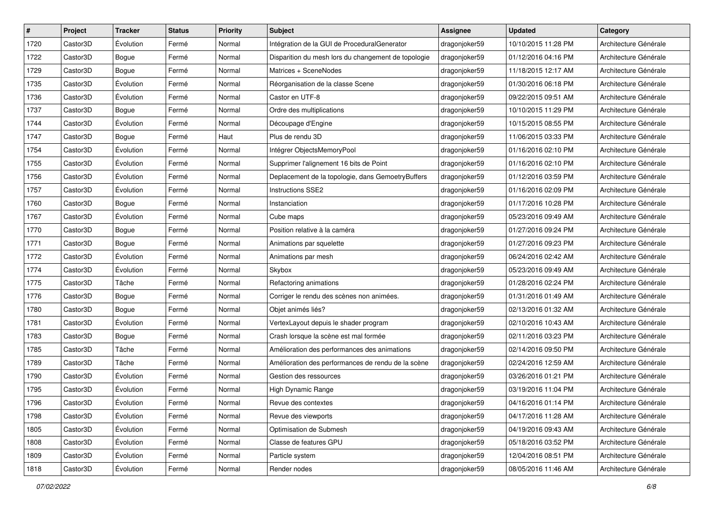| #    | Project  | <b>Tracker</b> | <b>Status</b> | Priority | Subject                                             | <b>Assignee</b> | <b>Updated</b>      | Category              |
|------|----------|----------------|---------------|----------|-----------------------------------------------------|-----------------|---------------------|-----------------------|
| 1720 | Castor3D | Évolution      | Fermé         | Normal   | Intégration de la GUI de ProceduralGenerator        | dragonjoker59   | 10/10/2015 11:28 PM | Architecture Générale |
| 1722 | Castor3D | <b>Bogue</b>   | Fermé         | Normal   | Disparition du mesh lors du changement de topologie | dragonjoker59   | 01/12/2016 04:16 PM | Architecture Générale |
| 1729 | Castor3D | Bogue          | Fermé         | Normal   | Matrices + SceneNodes                               | dragonjoker59   | 11/18/2015 12:17 AM | Architecture Générale |
| 1735 | Castor3D | Évolution      | Fermé         | Normal   | Réorganisation de la classe Scene                   | dragonjoker59   | 01/30/2016 06:18 PM | Architecture Générale |
| 1736 | Castor3D | Évolution      | Fermé         | Normal   | Castor en UTF-8                                     | dragonjoker59   | 09/22/2015 09:51 AM | Architecture Générale |
| 1737 | Castor3D | <b>Bogue</b>   | Fermé         | Normal   | Ordre des multiplications                           | dragonjoker59   | 10/10/2015 11:29 PM | Architecture Générale |
| 1744 | Castor3D | Évolution      | Fermé         | Normal   | Découpage d'Engine                                  | dragonjoker59   | 10/15/2015 08:55 PM | Architecture Générale |
| 1747 | Castor3D | Bogue          | Fermé         | Haut     | Plus de rendu 3D                                    | dragonjoker59   | 11/06/2015 03:33 PM | Architecture Générale |
| 1754 | Castor3D | Évolution      | Fermé         | Normal   | Intégrer ObjectsMemoryPool                          | dragonjoker59   | 01/16/2016 02:10 PM | Architecture Générale |
| 1755 | Castor3D | Évolution      | Fermé         | Normal   | Supprimer l'alignement 16 bits de Point             | dragonjoker59   | 01/16/2016 02:10 PM | Architecture Générale |
| 1756 | Castor3D | Évolution      | Fermé         | Normal   | Deplacement de la topologie, dans GemoetryBuffers   | dragonjoker59   | 01/12/2016 03:59 PM | Architecture Générale |
| 1757 | Castor3D | Évolution      | Fermé         | Normal   | <b>Instructions SSE2</b>                            | dragonjoker59   | 01/16/2016 02:09 PM | Architecture Générale |
| 1760 | Castor3D | <b>Bogue</b>   | Fermé         | Normal   | Instanciation                                       | dragonjoker59   | 01/17/2016 10:28 PM | Architecture Générale |
| 1767 | Castor3D | Évolution      | Fermé         | Normal   | Cube maps                                           | dragonjoker59   | 05/23/2016 09:49 AM | Architecture Générale |
| 1770 | Castor3D | <b>Bogue</b>   | Fermé         | Normal   | Position relative à la caméra                       | dragonjoker59   | 01/27/2016 09:24 PM | Architecture Générale |
| 1771 | Castor3D | Bogue          | Fermé         | Normal   | Animations par squelette                            | dragonjoker59   | 01/27/2016 09:23 PM | Architecture Générale |
| 1772 | Castor3D | Évolution      | Fermé         | Normal   | Animations par mesh                                 | dragonjoker59   | 06/24/2016 02:42 AM | Architecture Générale |
| 1774 | Castor3D | Évolution      | Fermé         | Normal   | Skybox                                              | dragonjoker59   | 05/23/2016 09:49 AM | Architecture Générale |
| 1775 | Castor3D | Tâche          | Fermé         | Normal   | Refactoring animations                              | dragonjoker59   | 01/28/2016 02:24 PM | Architecture Générale |
| 1776 | Castor3D | Bogue          | Fermé         | Normal   | Corriger le rendu des scènes non animées.           | dragonjoker59   | 01/31/2016 01:49 AM | Architecture Générale |
| 1780 | Castor3D | Bogue          | Fermé         | Normal   | Objet animés liés?                                  | dragonjoker59   | 02/13/2016 01:32 AM | Architecture Générale |
| 1781 | Castor3D | Évolution      | Fermé         | Normal   | VertexLayout depuis le shader program               | dragonjoker59   | 02/10/2016 10:43 AM | Architecture Générale |
| 1783 | Castor3D | <b>Bogue</b>   | Fermé         | Normal   | Crash lorsque la scène est mal formée               | dragonjoker59   | 02/11/2016 03:23 PM | Architecture Générale |
| 1785 | Castor3D | Tâche          | Fermé         | Normal   | Amélioration des performances des animations        | dragonjoker59   | 02/14/2016 09:50 PM | Architecture Générale |
| 1789 | Castor3D | Tâche          | Fermé         | Normal   | Amélioration des performances de rendu de la scène  | dragonjoker59   | 02/24/2016 12:59 AM | Architecture Générale |
| 1790 | Castor3D | Évolution      | Fermé         | Normal   | Gestion des ressources                              | dragonjoker59   | 03/26/2016 01:21 PM | Architecture Générale |
| 1795 | Castor3D | Évolution      | Fermé         | Normal   | High Dynamic Range                                  | dragonjoker59   | 03/19/2016 11:04 PM | Architecture Générale |
| 1796 | Castor3D | Évolution      | Fermé         | Normal   | Revue des contextes                                 | dragonjoker59   | 04/16/2016 01:14 PM | Architecture Générale |
| 1798 | Castor3D | Evolution      | Fermé         | Normal   | Revue des viewports                                 | dragonjoker59   | 04/17/2016 11:28 AM | Architecture Générale |
| 1805 | Castor3D | Évolution      | Fermé         | Normal   | Optimisation de Submesh                             | dragonjoker59   | 04/19/2016 09:43 AM | Architecture Générale |
| 1808 | Castor3D | Évolution      | Fermé         | Normal   | Classe de features GPU                              | dragonjoker59   | 05/18/2016 03:52 PM | Architecture Générale |
| 1809 | Castor3D | Évolution      | Fermé         | Normal   | Particle system                                     | dragonjoker59   | 12/04/2016 08:51 PM | Architecture Générale |
| 1818 | Castor3D | Évolution      | Fermé         | Normal   | Render nodes                                        | dragonjoker59   | 08/05/2016 11:46 AM | Architecture Générale |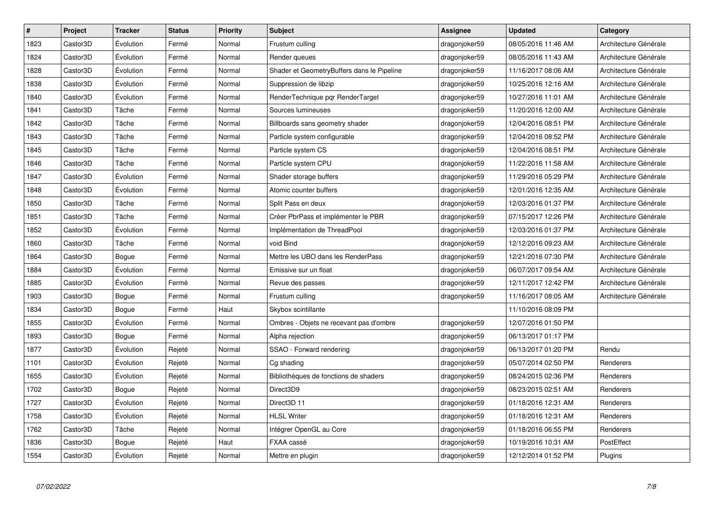| #    | Project  | <b>Tracker</b> | <b>Status</b> | <b>Priority</b> | <b>Subject</b>                             | <b>Assignee</b> | <b>Updated</b>      | Category              |
|------|----------|----------------|---------------|-----------------|--------------------------------------------|-----------------|---------------------|-----------------------|
| 1823 | Castor3D | Évolution      | Fermé         | Normal          | Frustum culling                            | dragonjoker59   | 08/05/2016 11:46 AM | Architecture Générale |
| 1824 | Castor3D | Évolution      | Fermé         | Normal          | Render queues                              | dragonjoker59   | 08/05/2016 11:43 AM | Architecture Générale |
| 1828 | Castor3D | Évolution      | Fermé         | Normal          | Shader et GeometryBuffers dans le Pipeline | dragonjoker59   | 11/16/2017 08:06 AM | Architecture Générale |
| 1838 | Castor3D | Évolution      | Fermé         | Normal          | Suppression de libzip                      | dragonjoker59   | 10/25/2016 12:16 AM | Architecture Générale |
| 1840 | Castor3D | Évolution      | Fermé         | Normal          | RenderTechnique pqr RenderTarget           | dragonjoker59   | 10/27/2016 11:01 AM | Architecture Générale |
| 1841 | Castor3D | Tâche          | Fermé         | Normal          | Sources lumineuses                         | dragonjoker59   | 11/20/2016 12:00 AM | Architecture Générale |
| 1842 | Castor3D | Tâche          | Fermé         | Normal          | Billboards sans geometry shader            | dragonjoker59   | 12/04/2016 08:51 PM | Architecture Générale |
| 1843 | Castor3D | Tâche          | Fermé         | Normal          | Particle system configurable               | dragonjoker59   | 12/04/2016 08:52 PM | Architecture Générale |
| 1845 | Castor3D | Tâche          | Fermé         | Normal          | Particle system CS                         | dragonjoker59   | 12/04/2016 08:51 PM | Architecture Générale |
| 1846 | Castor3D | Tâche          | Fermé         | Normal          | Particle system CPU                        | dragonjoker59   | 11/22/2016 11:58 AM | Architecture Générale |
| 1847 | Castor3D | Évolution      | Fermé         | Normal          | Shader storage buffers                     | dragonjoker59   | 11/29/2016 05:29 PM | Architecture Générale |
| 1848 | Castor3D | Évolution      | Fermé         | Normal          | Atomic counter buffers                     | dragonjoker59   | 12/01/2016 12:35 AM | Architecture Générale |
| 1850 | Castor3D | Tâche          | Fermé         | Normal          | Split Pass en deux                         | dragonjoker59   | 12/03/2016 01:37 PM | Architecture Générale |
| 1851 | Castor3D | Tâche          | Fermé         | Normal          | Créer PbrPass et implémenter le PBR        | dragonjoker59   | 07/15/2017 12:26 PM | Architecture Générale |
| 1852 | Castor3D | Évolution      | Fermé         | Normal          | Implémentation de ThreadPool               | dragonjoker59   | 12/03/2016 01:37 PM | Architecture Générale |
| 1860 | Castor3D | Tâche          | Fermé         | Normal          | void Bind                                  | dragonjoker59   | 12/12/2016 09:23 AM | Architecture Générale |
| 1864 | Castor3D | Bogue          | Fermé         | Normal          | Mettre les UBO dans les RenderPass         | dragonjoker59   | 12/21/2016 07:30 PM | Architecture Générale |
| 1884 | Castor3D | Évolution      | Fermé         | Normal          | Emissive sur un float                      | dragonjoker59   | 06/07/2017 09:54 AM | Architecture Générale |
| 1885 | Castor3D | Évolution      | Fermé         | Normal          | Revue des passes                           | dragonjoker59   | 12/11/2017 12:42 PM | Architecture Générale |
| 1903 | Castor3D | Bogue          | Fermé         | Normal          | Frustum culling                            | dragonjoker59   | 11/16/2017 08:05 AM | Architecture Générale |
| 1834 | Castor3D | Bogue          | Fermé         | Haut            | Skybox scintillante                        |                 | 11/10/2016 08:09 PM |                       |
| 1855 | Castor3D | Évolution      | Fermé         | Normal          | Ombres - Objets ne recevant pas d'ombre    | dragonjoker59   | 12/07/2016 01:50 PM |                       |
| 1893 | Castor3D | Bogue          | Fermé         | Normal          | Alpha rejection                            | dragonjoker59   | 06/13/2017 01:17 PM |                       |
| 1877 | Castor3D | Évolution      | Rejeté        | Normal          | SSAO - Forward rendering                   | dragonjoker59   | 06/13/2017 01:20 PM | Rendu                 |
| 1101 | Castor3D | Évolution      | Rejeté        | Normal          | Cg shading                                 | dragonjoker59   | 05/07/2014 02:50 PM | Renderers             |
| 1655 | Castor3D | Évolution      | Rejeté        | Normal          | Bibliothèques de fonctions de shaders      | dragonjoker59   | 08/24/2015 02:36 PM | Renderers             |
| 1702 | Castor3D | Bogue          | Rejeté        | Normal          | Direct3D9                                  | dragonjoker59   | 08/23/2015 02:51 AM | Renderers             |
| 1727 | Castor3D | Évolution      | Rejeté        | Normal          | Direct3D 11                                | dragonjoker59   | 01/18/2016 12:31 AM | Renderers             |
| 1758 | Castor3D | Evolution      | Rejeté        | Normal          | <b>HLSL Writer</b>                         | dragonjoker59   | 01/18/2016 12:31 AM | Renderers             |
| 1762 | Castor3D | Tâche          | Rejeté        | Normal          | Intégrer OpenGL au Core                    | dragonjoker59   | 01/18/2016 06:55 PM | Renderers             |
| 1836 | Castor3D | Bogue          | Rejeté        | Haut            | FXAA cassé                                 | dragonjoker59   | 10/19/2016 10:31 AM | PostEffect            |
| 1554 | Castor3D | Évolution      | Rejeté        | Normal          | Mettre en plugin                           | dragonjoker59   | 12/12/2014 01:52 PM | Plugins               |